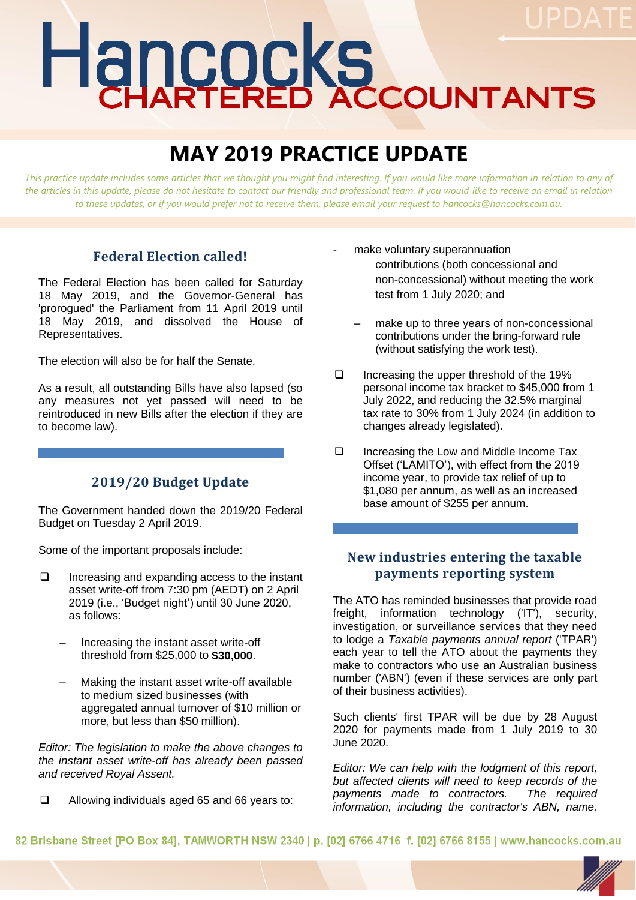# Hancocks

# **MAY 2019 PRACTICE UPDATE**

*This practice update includes some articles that we thought you might find interesting. If you would like more information in relation to any of the articles in this update, please do not hesitate to contact our friendly and professional team. If you would like to receive an email in relation to these updates, or if you would prefer not to receive them, please email your request to hancocks@hancocks.com.au.* 

### **Federal Election called!**

The Federal Election has been called for Saturday 18 May 2019, and the Governor-General has 'prorogued' the Parliament from 11 April 2019 until 18 May 2019, and dissolved the House of Representatives.

The election will also be for half the Senate.

As a result, all outstanding Bills have also lapsed (so any measures not yet passed will need to be reintroduced in new Bills after the election if they are to become law).

### **2019/20 Budget Update**

The Government handed down the 2019/20 Federal Budget on Tuesday 2 April 2019.

Some of the important proposals include:

- $\Box$  Increasing and expanding access to the instant asset write-off from 7:30 pm (AEDT) on 2 April 2019 (i.e., 'Budget night') until 30 June 2020, as follows:
	- Increasing the instant asset write-off threshold from \$25,000 to **\$30,000**.
	- Making the instant asset write-off available to medium sized businesses (with aggregated annual turnover of \$10 million or more, but less than \$50 million).

*Editor: The legislation to make the above changes to the instant asset write-off has already been passed and received Royal Assent.*

Allowing individuals aged 65 and 66 years to:

- make voluntary superannuation contributions (both concessional and non-concessional) without meeting the work test from 1 July 2020; and
	- make up to three years of non-concessional contributions under the bring-forward rule (without satisfying the work test).
- $\Box$  Increasing the upper threshold of the 19% personal income tax bracket to \$45,000 from 1 July 2022, and reducing the 32.5% marginal tax rate to 30% from 1 July 2024 (in addition to changes already legislated).
- □ Increasing the Low and Middle Income Tax Offset ('LAMITO'), with effect from the 2019 income year, to provide tax relief of up to \$1,080 per annum, as well as an increased base amount of \$255 per annum.

## **New industries entering the taxable payments reporting system**

The ATO has reminded businesses that provide road freight, information technology ('IT'), security, investigation, or surveillance services that they need to lodge a *Taxable payments annual report* ('TPAR') each year to tell the ATO about the payments they make to contractors who use an Australian business number ('ABN') (even if these services are only part of their business activities).

Such clients' first TPAR will be due by 28 August 2020 for payments made from 1 July 2019 to 30 June 2020.

*Editor: We can help with the lodgment of this report, but affected clients will need to keep records of the payments made to contractors. The required information, including the contractor's ABN, name,* 

82 Brisbane Street [PO Box 84], TAMWORTH NSW 2340 | p. [02] 6766 4716 f. [02] 6766 8155 | www.hancocks.com.au